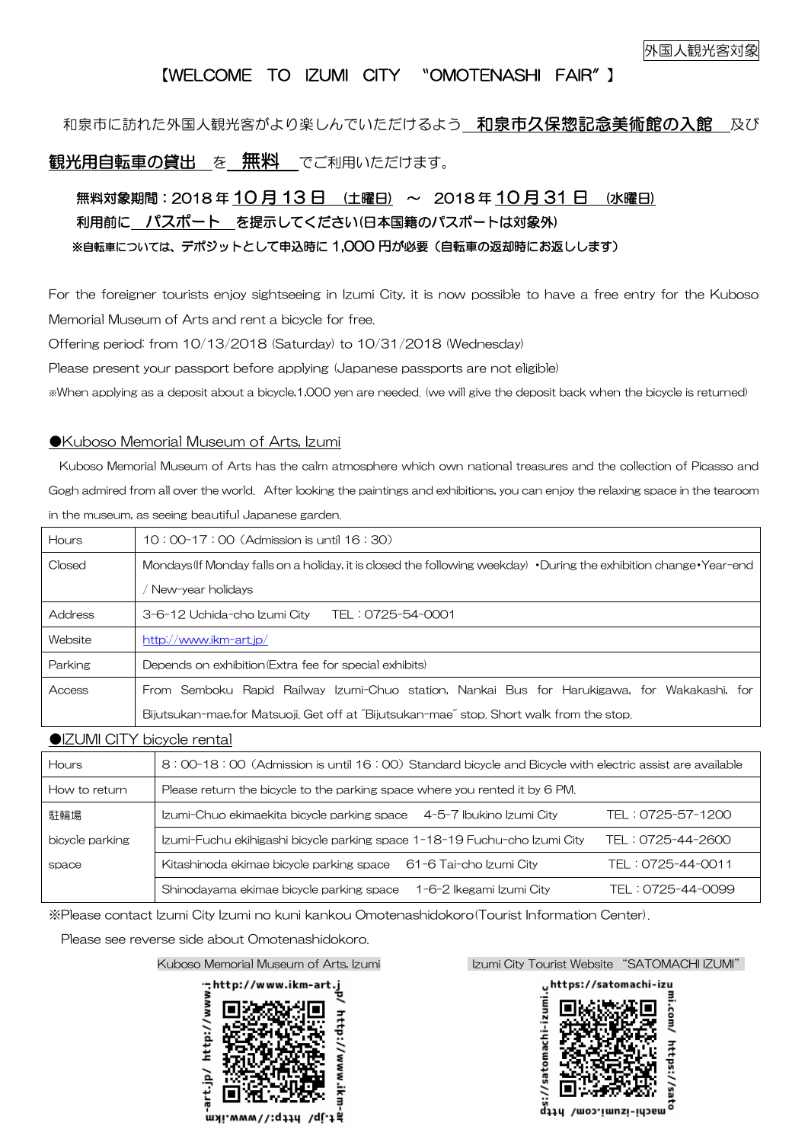## 【WELCOME TO IZUMI CITY 〝OMOTENASHI FAIR″】

### 和泉市に訪れた外国人観光客がより楽しんでいただけるよう 和泉市久保惣記念美術館の入館 及び

### 観光用自転車の貸出 を 無料 でご利用いただけます。

## 無料対象期間: 2018年10月13日 (土曜日) ~ 2018年10月31日 (水曜日) 利用前に パスポート を提示してください(日本国籍のパスポートは対象外) ※自転車については、デポジットとして申込時に 1,000 円が必要(自転車の返却時にお返しします)

For the foreigner tourists enjoy sightseeing in Izumi City, it is now possible to have a free entry for the Kuboso Memorial Museum of Arts and rent a bicycle for free.

Offering period: from 10/13/2018 (Saturday) to 10/31/2018 (Wednesday)

Please present your passport before applying (Japanese passports are not eligible)

※When applying as a deposit about a bicycle,1,000 yen are needed. (we will give the deposit back when the bicycle is returned)

#### ●Kuboso Memorial Museum of Arts, Izumi

Kuboso Memorial Museum of Arts has the calm atmosphere which own national treasures and the collection of Picasso and Gogh admired from all over the world. After looking the paintings and exhibitions, you can enjoy the relaxing space in the tearoom in the museum, as seeing beautiful Japanese garden.

| <b>Hours</b> | $10:00-17:00$ (Admission is until $16:30$ )                                                                                      |  |  |
|--------------|----------------------------------------------------------------------------------------------------------------------------------|--|--|
| Closed       | Mondays (If Monday falls on a holiday, it is closed the following weekday) $\cdot$ During the exhibition change $\cdot$ Year-end |  |  |
|              | New-year holidays                                                                                                                |  |  |
| Address      | 3-6-12 Uchida-cho Izumi City<br>TEL: 0725-54-0001                                                                                |  |  |
| Website      | http://www.ikm-art.jp/                                                                                                           |  |  |
| Parking      | Depends on exhibition (Extra fee for special exhibits)                                                                           |  |  |
| Access       | From Semboku Rapid Railway Izumi-Chuo station, Nankai Bus for Harukigawa, for Wakakashi, for                                     |  |  |
|              | Bijutsukan-mae, for Matsuoji, Get off at "Bijutsukan-mae" stop, Short walk from the stop,                                        |  |  |

●IZUMI CITY bicycle rental

| <b>Hours</b>    | 8:00-18:00 (Admission is until 16:00) Standard bicycle and Bicycle with electric assist are available |                   |
|-----------------|-------------------------------------------------------------------------------------------------------|-------------------|
| How to return   | Please return the bicycle to the parking space where you rented it by 6 PM.                           |                   |
| 駐輪場             | Izumi-Chuo ekimaekita bicycle parking space<br>4-5-7 Ibukino Izumi City                               | TEL: 0725-57-1200 |
| bicycle parking | Izumi-Fuchu ekihigashi bicycle parking space 1-18-19 Fuchu-cho Izumi City                             | TEL: 0725-44-2600 |
| space           | Kitashinoda ekimae bicycle parking space<br>61-6 Tai-cho Izumi City                                   | TEL: 0725-44-0011 |
|                 | Shinodayama ekimae bicycle parking space<br>1-6-2 Ikegami Izumi City                                  | TFL: 0725-44-0099 |

※Please contact Izumi City Izumi no kuni kankou Omotenashidokoro(Tourist Information Center).

Please see reverse side about Omotenashidokoro.



Kuboso Memorial Museum of Arts, Izumi **Izumi Izumi City Tourist Website "SATOMACHI IZUM**I"